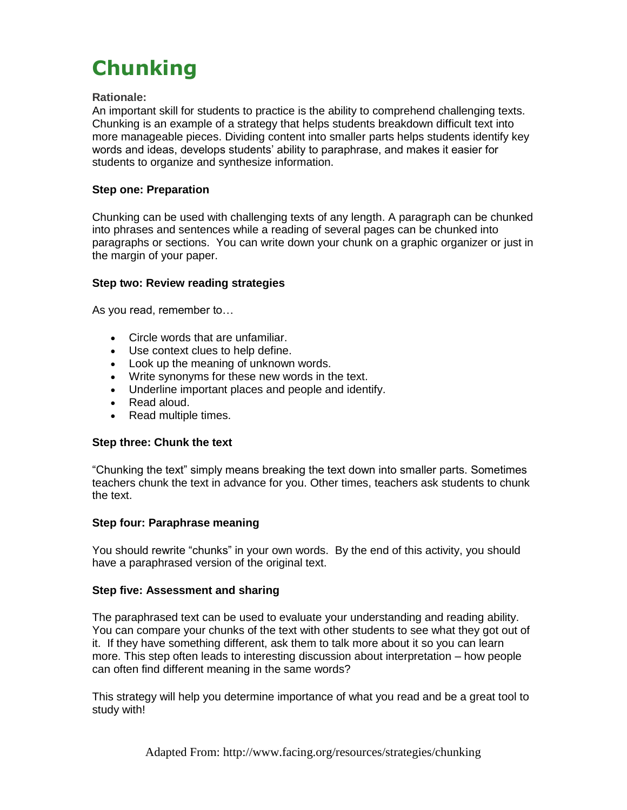# **Chunking**

### **Rationale:**

An important skill for students to practice is the ability to comprehend challenging texts. Chunking is an example of a strategy that helps students breakdown difficult text into more manageable pieces. Dividing content into smaller parts helps students identify key words and ideas, develops students' ability to paraphrase, and makes it easier for students to organize and synthesize information.

## **Step one: Preparation**

Chunking can be used with challenging texts of any length. A paragraph can be chunked into phrases and sentences while a reading of several pages can be chunked into paragraphs or sections. You can write down your chunk on a graphic organizer or just in the margin of your paper.

#### **Step two: Review reading strategies**

As you read, remember to…

- Circle words that are unfamiliar.
- Use context clues to help define.
- Look up the meaning of unknown words.
- Write synonyms for these new words in the text.
- Underline important places and people and identify.
- Read aloud.
- Read multiple times.

#### **Step three: Chunk the text**

"Chunking the text" simply means breaking the text down into smaller parts. Sometimes teachers chunk the text in advance for you. Other times, teachers ask students to chunk the text.

## **Step four: Paraphrase meaning**

You should rewrite "chunks" in your own words. By the end of this activity, you should have a paraphrased version of the original text.

#### **Step five: Assessment and sharing**

The paraphrased text can be used to evaluate your understanding and reading ability. You can compare your chunks of the text with other students to see what they got out of it. If they have something different, ask them to talk more about it so you can learn more. This step often leads to interesting discussion about interpretation – how people can often find different meaning in the same words?

This strategy will help you determine importance of what you read and be a great tool to study with!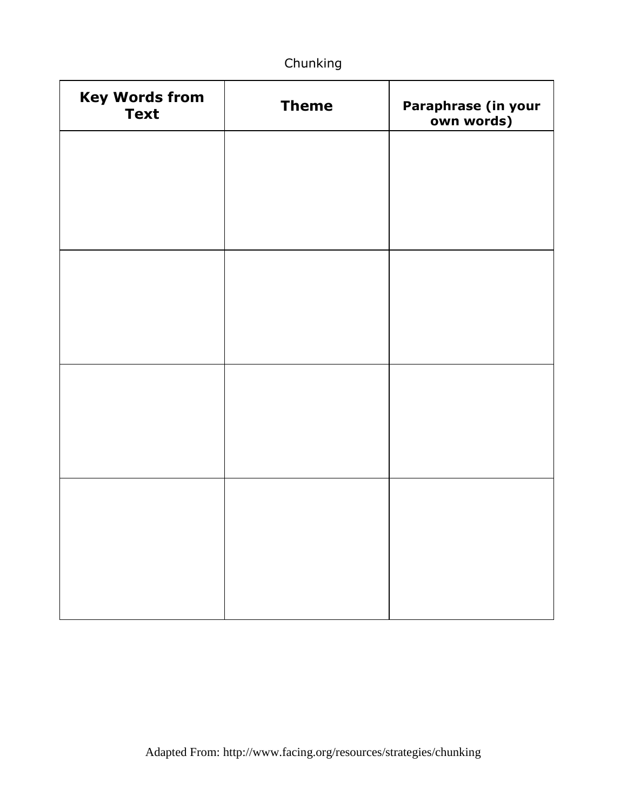# Chunking

| <b>Key Words from</b><br><b>Text</b> | <b>Theme</b> | Paraphrase (in your<br>own words) |
|--------------------------------------|--------------|-----------------------------------|
|                                      |              |                                   |
|                                      |              |                                   |
|                                      |              |                                   |
|                                      |              |                                   |
|                                      |              |                                   |
|                                      |              |                                   |
|                                      |              |                                   |
|                                      |              |                                   |
|                                      |              |                                   |
|                                      |              |                                   |